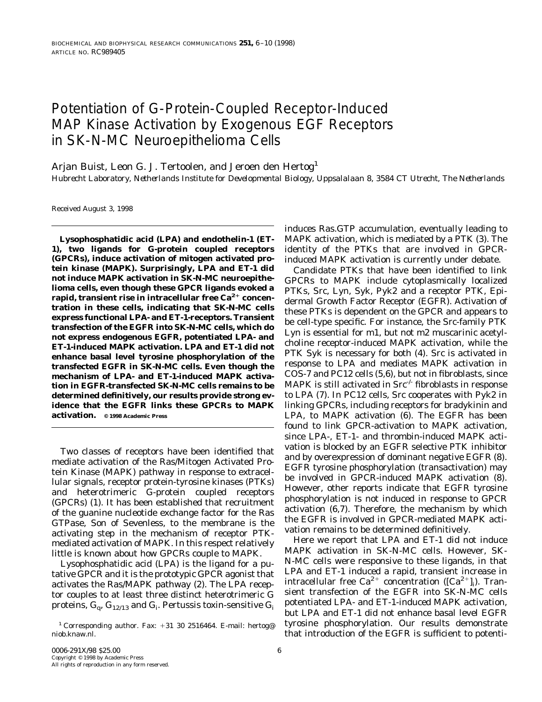# Potentiation of G-Protein-Coupled Receptor-Induced MAP Kinase Activation by Exogenous EGF Receptors in SK-N-MC Neuroepithelioma Cells

Arjan Buist, Leon G. J. Tertoolen, and Jeroen den Hertog<sup>1</sup>

*Hubrecht Laboratory, Netherlands Institute for Developmental Biology, Uppsalalaan 8, 3584 CT Utrecht, The Netherlands*

Received August 3, 1998

**Lysophosphatidic acid (LPA) and endothelin-1 (ET-1), two ligands for G-protein coupled receptors (GPCRs), induce activation of mitogen activated protein kinase (MAPK). Surprisingly, LPA and ET-1 did not induce MAPK activation in SK-N-MC neuroepithelioma cells, even though these GPCR ligands evoked a rapid, transient rise in intracellular free Ca2**<sup>1</sup> **concentration in these cells, indicating that SK-N-MC cells express functional LPA- and ET-1-receptors. Transient transfection of the EGFR into SK-N-MC cells, which do not express endogenous EGFR, potentiated LPA- and ET-1-induced MAPK activation. LPA and ET-1 did not enhance basal level tyrosine phosphorylation of the transfected EGFR in SK-N-MC cells. Even though the mechanism of LPA- and ET-1-induced MAPK activation in EGFR-transfected SK-N-MC cells remains to be determined definitively, our results provide strong evidence that the EGFR links these GPCRs to MAPK activation. © 1998 Academic Press**

Two classes of receptors have been identified that mediate activation of the Ras/Mitogen Activated Protein Kinase (MAPK) pathway in response to extracellular signals, receptor protein-tyrosine kinases (PTKs) and heterotrimeric G-protein coupled receptors (GPCRs) (1). It has been established that recruitment of the guanine nucleotide exchange factor for the Ras GTPase, Son of Sevenless, to the membrane is the activating step in the mechanism of receptor PTKmediated activation of MAPK. In this respect relatively little is known about how GPCRs couple to MAPK.

Lysophosphatidic acid (LPA) is the ligand for a putative GPCR and it is the prototypic GPCR agonist that activates the Ras/MAPK pathway (2). The LPA receptor couples to at least three distinct heterotrimeric G proteins,  $\mathrm{G}_{\mathrm{q}}, \mathrm{G}_{12/13}$  and  $\mathrm{G}_{\mathrm{i}}.$  Pertussis toxin-sensitive  $\mathrm{G}_{\mathrm{i}}$ 

induces Ras.GTP accumulation, eventually leading to MAPK activation, which is mediated by a PTK (3). The identity of the PTKs that are involved in GPCRinduced MAPK activation is currently under debate.

Candidate PTKs that have been identified to link GPCRs to MAPK include cytoplasmically localized PTKs, Src, Lyn, Syk, Pyk2 and a receptor PTK, Epidermal Growth Factor Receptor (EGFR). Activation of these PTKs is dependent on the GPCR and appears to be cell-type specific. For instance, the Src-family PTK Lyn is essential for m1, but not m2 muscarinic acetylcholine receptor-induced MAPK activation, while the PTK Syk is necessary for both (4). Src is activated in response to LPA and mediates MAPK activation in COS-7 and PC12 cells (5,6), but not in fibroblasts, since MAPK is still activated in  $\text{Src}^{\text{-} \text{-}}$  fibroblasts in response to LPA (7). In PC12 cells, Src cooperates with Pyk2 in linking GPCRs, including receptors for bradykinin and LPA, to MAPK activation (6). The EGFR has been found to link GPCR-activation to MAPK activation, since LPA-, ET-1- and thrombin-induced MAPK activation is blocked by an EGFR selective PTK inhibitor and by overexpression of dominant negative EGFR (8). EGFR tyrosine phosphorylation (transactivation) may be involved in GPCR-induced MAPK activation (8). However, other reports indicate that EGFR tyrosine phosphorylation is not induced in response to GPCR activation (6,7). Therefore, the mechanism by which the EGFR is involved in GPCR-mediated MAPK activation remains to be determined definitively.

Here we report that LPA and ET-1 did not induce MAPK activation in SK-N-MC cells. However, SK-N-MC cells were responsive to these ligands, in that LPA and ET-1 induced a rapid, transient increase in intracellular free Ca<sup>2+</sup> concentration ([Ca<sup>2+</sup>]<sub>i</sub>). Transient transfection of the EGFR into SK-N-MC cells potentiated LPA- and ET-1-induced MAPK activation, but LPA and ET-1 did not enhance basal level EGFR tyrosine phosphorylation. Our results demonstrate that introduction of the EGFR is sufficient to potenti-

<sup>&</sup>lt;sup>1</sup> Corresponding author. Fax:  $+31$  30 2516464. E-mail: hertog@ niob.knaw.nl.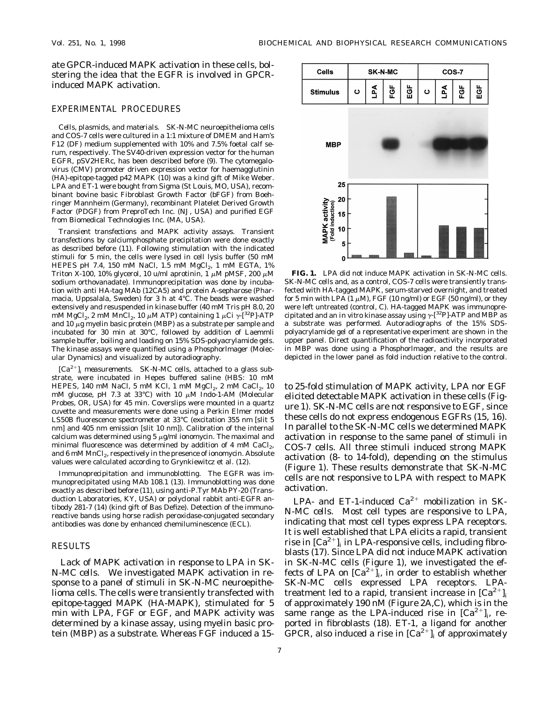ate GPCR-induced MAPK activation in these cells, bolstering the idea that the EGFR is involved in GPCRinduced MAPK activation.

## EXPERIMENTAL PROCEDURES

*Cells, plasmids, and materials.* SK-N-MC neuroepithelioma cells and COS-7 cells were cultured in a 1:1 mixture of DMEM and Ham's F12 (DF) medium supplemented with 10% and 7.5% foetal calf serum, respectively. The SV40-driven expression vector for the human EGFR, pSV2HERc, has been described before (9). The cytomegalovirus (CMV) promoter driven expression vector for haemagglutinin (HA)-epitope-tagged p42 MAPK (10) was a kind gift of Mike Weber. LPA and ET-1 were bought from Sigma (St Louis, MO, USA), recombinant bovine basic Fibroblast Growth Factor (bFGF) from Boehringer Mannheim (Germany), recombinant Platelet Derived Growth Factor (PDGF) from PreproTech Inc. (NJ, USA) and purified EGF from Biomedical Technologies Inc. (MA, USA).

*Transient transfections and MAPK activity assays.* Transient transfections by calciumphosphate precipitation were done exactly as described before (11). Following stimulation with the indicated stimuli for 5 min, the cells were lysed in cell lysis buffer (50 mM HEPES pH 7.4, 150 mM NaCl, 1.5 mM  $MgCl<sub>2</sub>$ , 1 mM EGTA, 1% Triton X-100, 10% glycerol, 10 u/ml aprotinin, 1  $\mu$ M pMSF, 200  $\mu$ M sodium orthovanadate). Immunoprecipitation was done by incubation with anti HA-tag MAb (12CA5) and protein A-sepharose (Pharmacia, Uppsalala, Sweden) for 3 h at 4°C. The beads were washed extensively and resuspended in kinase buffer (40 mM Tris pH 8.0, 20 mM MgCl<sub>2</sub>, 2 mM MnCl<sub>2</sub>, 10  $\mu$ M ATP) containing 1  $\mu$ Ci  $\gamma$ -[<sup>32</sup>P]-ATP and  $10 \mu$ g myelin basic protein (MBP) as a substrate per sample and incubated for 30 min at 30°C, followed by addition of Laemmli sample buffer, boiling and loading on 15% SDS-polyacrylamide gels. The kinase assays were quantified using a Phosphorlmager (Molecular Dynamics) and visualized by autoradiography.

 $[Ca^{2+}$ ]<sub>i</sub> measurements. SK-N-MC cells, attached to a glass substrate, were incubated in Hepes buffered saline (HBS: 10 mM HEPES, 140 mM NaCl, 5 mM KCl, 1 mM  $MgCl<sub>2</sub>$ , 2 mM CaCl<sub>2</sub>, 10 mM glucose, pH 7.3 at 33°C) with 10  $\mu$ M Indo-1-AM (Molecular Probes, OR, USA) for 45 min. Coverslips were mounted in a quartz cuvette and measurements were done using a Perkin Elmer model LS50B fluorescence spectrometer at 33°C (excitation 355 nm [slit 5 nm] and 405 nm emission [slit 10 nm]). Calibration of the internal calcium was determined using  $5 \mu g/ml$  ionomycin. The maximal and minimal fluorescence was determined by addition of 4 mM CaCl<sub>2</sub>, and 6 mM MnCl<sub>2</sub>, respectively in the presence of ionomycin. Absolute values were calculated according to Grynkiewitcz et al. (12).

*Immunoprecipitation and immunoblotting.* The EGFR was immunoprecipitated using MAb 108.1 (13). Immunoblotting was done exactly as described before (11), using anti-P.Tyr MAb PY-20 (Transduction Laboratories, KY, USA) or polyclonal rabbit anti-EGFR antibody 281-7 (14) (kind gift of Bas Defize). Detection of the immunoreactive bands using horse radish peroxidase-conjugated secondary antibodies was done by enhanced chemiluminescence (ECL).

### RESULTS

*Lack of MAPK activation in response to LPA in SK-N-MC cells.* We investigated MAPK activation in response to a panel of stimuli in SK-N-MC neuroepithelioma cells. The cells were transiently transfected with epitope-tagged MAPK (HA-MAPK), stimulated for 5 min with LPA, FGF or EGF, and MAPK activity was determined by a kinase assay, using myelin basic protein (MBP) as a substrate. Whereas FGF induced a 15-



**FIG. 1.** LPA did not induce MAPK activation in SK-N-MC cells. SK-N-MC cells and, as a control, COS-7 cells were transiently transfected with HA-tagged MAPK, serum-starved overnight, and treated for 5 min with LPA  $(1 \mu M)$ , FGF  $(10 \text{ ng/ml})$  or EGF  $(50 \text{ ng/ml})$ , or they were left untreated (control, C). HA-tagged MAPK was immunoprecipitated and an *in vitro* kinase assay using  $\gamma$ -[<sup>32</sup>P]-ATP and MBP as a substrate was performed. Autoradiographs of the 15% SDSpolyacrylamide gel of a representative experiment are shown in the upper panel. Direct quantification of the radioactivity incorporated in MBP was done using a Phosphorlmager, and the results are depicted in the lower panel as fold induction relative to the control.

to 25-fold stimulation of MAPK activity, LPA nor EGF elicited detectable MAPK activation in these cells (Figure 1). SK-N-MC cells are not responsive to EGF, since these cells do not express endogenous EGFRs (15, 16). In parallel to the SK-N-MC cells we determined MAPK activation in response to the same panel of stimuli in COS-7 cells. All three stimuli induced strong MAPK activation (8- to 14-fold), depending on the stimulus (Figure 1). These results demonstrate that SK-N-MC cells are not responsive to LPA with respect to MAPK activation.

*LPA- and ET-1-induced Ca2*<sup>1</sup> *mobilization in SK-N-MC cells.* Most cell types are responsive to LPA, indicating that most cell types express LPA receptors. It is well established that LPA elicits a rapid, transient rise in  $\lbrack Ca^{2+}\rbrack$  in LPA-responsive cells, including fibroblasts (17). Since LPA did not induce MAPK activation in SK-N-MC cells (Figure 1), we investigated the effects of LPA on  $\lbrack Ca^{2+}\rbrack _i$ , in order to establish whether SK-N-MC cells expressed LPA receptors. LPAtreatment led to a rapid, transient increase in  $[Ca^{2+}]_i$ of approximately 190 nM (Figure 2A,C), which is in the same range as the LPA-induced rise in  $[Ca^{2+}]_i$ , reported in fibroblasts (18). ET-1, a ligand for another GPCR, also induced a rise in  $|Ca^{2+}|$ , of approximately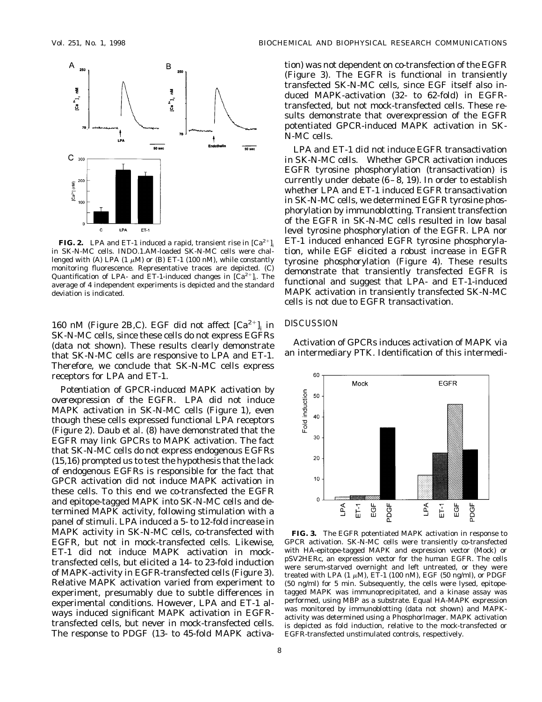

**FIG. 2.** LPA and ET-1 induced a rapid, transient rise in  $[Ca^{2+}]$ in SK-N-MC cells. INDO.1.AM-loaded SK-N-MC cells were challenged with (A) LPA (1  $\mu$ M) or (B) ET-1 (100 nM), while constantly monitoring fluorescence. Representative traces are depicted. (C) Quantification of LPA- and ET-1-induced changes in  $[\hat{Ca}^{2+}]_i$ . The average of 4 independent experiments is depicted and the standard deviation is indicated.

160 nM (Figure 2B,C). EGF did not affect  $|Ca^{2+}|$ , in SK-N-MC cells, since these cells do not express EGFRs (data not shown). These results clearly demonstrate that SK-N-MC cells are responsive to LPA and ET-1. Therefore, we conclude that SK-N-MC cells express receptors for LPA and ET-1.

*Potentiation of GPCR-induced MAPK activation by overexpression of the EGFR.* LPA did not induce MAPK activation in SK-N-MC cells (Figure 1), even though these cells expressed functional LPA receptors (Figure 2). Daub et al. (8) have demonstrated that the EGFR may link GPCRs to MAPK activation. The fact that SK-N-MC cells do not express endogenous EGFRs (15,16) prompted us to test the hypothesis that the lack of endogenous EGFRs is responsible for the fact that GPCR activation did not induce MAPK activation in these cells. To this end we co-transfected the EGFR and epitope-tagged MAPK into SK-N-MC cells and determined MAPK activity, following stimulation with a panel of stimuli. LPA induced a 5- to 12-fold increase in MAPK activity in SK-N-MC cells, co-transfected with EGFR, but not in mock-transfected cells. Likewise, ET-1 did not induce MAPK activation in mocktransfected cells, but elicited a 14- to 23-fold induction of MAPK-activity in EGFR-transfected cells (Figure 3). Relative MAPK activation varied from experiment to experiment, presumably due to subtle differences in experimental conditions. However, LPA and ET-1 always induced significant MAPK activation in EGFRtransfected cells, but never in mock-transfected cells. The response to PDGF (13- to 45-fold MAPK activa-

tion) was not dependent on co-transfection of the EGFR (Figure 3). The EGFR is functional in transiently transfected SK-N-MC cells, since EGF itself also induced MAPK-activation (32- to 62-fold) in EGFRtransfected, but not mock-transfected cells. These results demonstrate that overexpression of the EGFR potentiated GPCR-induced MAPK activation in SK-N-MC cells.

*LPA and ET-1 did not induce EGFR transactivation in SK-N-MC cells.* Whether GPCR activation induces EGFR tyrosine phosphorylation (transactivation) is currently under debate (6–8, 19). In order to establish whether LPA and ET-1 induced EGFR transactivation in SK-N-MC cells, we determined EGFR tyrosine phosphorylation by immunoblotting. Transient transfection of the EGFR in SK-N-MC cells resulted in low basal level tyrosine phosphorylation of the EGFR. LPA nor ET-1 induced enhanced EGFR tyrosine phosphorylation, while EGF elicited a robust increase in EGFR tyrosine phosphorylation (Figure 4). These results demonstrate that transiently transfected EGFR is functional and suggest that LPA- and ET-1-induced MAPK activation in transiently transfected SK-N-MC cells is not due to EGFR transactivation.

#### **DISCUSSION**

Activation of GPCRs induces activation of MAPK via an intermediary PTK. Identification of this intermedi-



**FIG. 3.** The EGFR potentiated MAPK activation in response to GPCR activation. SK-N-MC cells were transiently co-transfected with HA-epitope-tagged MAPK and expression vector (Mock) or pSV2HERc, an expression vector for the human EGFR. The cells were serum-starved overnight and left untreated, or they were treated with LPA (1  $\mu$ M), ET-1 (100 nM), EGF (50 ng/ml), or PDGF (50 ng/ml) for 5 min. Subsequently, the cells were lysed, epitopetagged MAPK was immunoprecipitated, and a kinase assay was performed, using MBP as a substrate. Equal HA-MAPK expression was monitored by immunoblotting (data not shown) and MAPKactivity was determined using a Phosphorlmager. MAPK activation is depicted as fold induction, relative to the mock-transfected or EGFR-transfected unstimulated controls, respectively.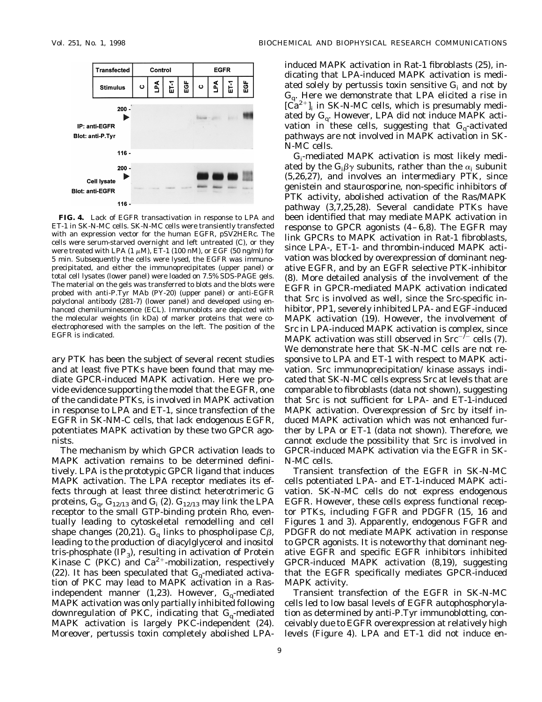

**FIG. 4.** Lack of EGFR transactivation in response to LPA and ET-1 in SK-N-MC cells. SK-N-MC cells were transiently transfected with an expression vector for the human EGFR, pSV2HERc. The cells were serum-starved overnight and left untreated (C), or they were treated with LPA  $(1 \mu M)$ , ET-1  $(100 \text{ nM})$ , or EGF  $(50 \text{ ng/ml})$  for 5 min. Subsequently the cells were lysed, the EGFR was immunoprecipitated, and either the immunoprecipitates (upper panel) or total cell lysates (lower panel) were loaded on 7.5% SDS-PAGE gels. The material on the gels was transferred to blots and the blots were probed with anti-P.Tyr MAb (PY-20) (upper panel) or anti-EGFR polyclonal antibody (281-7) (lower panel) and developed using enhanced chemiluminescence (ECL). Immunoblots are depicted with the molecular weights (in kDa) of marker proteins that were coelectrophoresed with the samples on the left. The position of the EGFR is indicated.

ary PTK has been the subject of several recent studies and at least five PTKs have been found that may mediate GPCR-induced MAPK activation. Here we provide evidence supporting the model that the EGFR, one of the candidate PTKs, is involved in MAPK activation in response to LPA and ET-1, since transfection of the EGFR in SK-NM-C cells, that lack endogenous EGFR, potentiates MAPK activation by these two GPCR agonists.

The mechanism by which GPCR activation leads to MAPK activation remains to be determined definitively. LPA is the prototypic GPCR ligand that induces MAPK activation. The LPA receptor mediates its effects through at least three distinct heterotrimeric G proteins,  $G_q$ ,  $G_{12/13}$  and  $G_i$  (2).  $G_{12/13}$  may link the LPA receptor to the small GTP-binding protein Rho, eventually leading to cytoskeletal remodelling and cell shape changes (20,21).  $G_q$  links to phospholipase C $\beta$ , leading to the production of diacylglycerol and inositol tris-phosphate  $(\text{IP}_3)$ , resulting in activation of Protein Kinase C (PKC) and  $Ca^{2+}$ -mobilization, respectively (22). It has been speculated that  $G_q$ -mediated activation of PKC may lead to MAPK activation in a Rasindependent manner  $(1,23)$ . However,  $G_{\alpha}$ -mediated MAPK activation was only partially inhibited following downregulation of PKC, indicating that  $G_q$ -mediated MAPK activation is largely PKC-independent (24). Moreover, pertussis toxin completely abolished LPA-

induced MAPK activation in Rat-1 fibroblasts (25), indicating that LPA-induced MAPK activation is mediated solely by pertussis toxin sensitive  $G_i$  and not by  $G_{\alpha}$ . Here we demonstrate that LPA elicited a rise in  $[\vec{Ca}^{2+}]$ <sub>i</sub> in SK-N-MC cells, which is presumably mediated by G<sub>q</sub>. However, LPA did not induce MAPK activation in these cells, suggesting that  $G_q$ -activated pathways are not involved in MAPK activation in SK-N-MC cells.

Gi -mediated MAPK activation is most likely mediated by the  $\mathrm{G_i}\beta \gamma$  subunits, rather than the  $\alpha_\mathrm{i}$  subunit (5,26,27), and involves an intermediary PTK, since genistein and staurosporine, non-specific inhibitors of PTK activity, abolished activation of the Ras/MAPK pathway (3,7,25,28). Several candidate PTKs have been identified that may mediate MAPK activation in response to GPCR agonists (4–6,8). The EGFR may link GPCRs to MAPK activation in Rat-1 fibroblasts, since LPA-, ET-1- and thrombin-induced MAPK activation was blocked by overexpression of dominant negative EGFR, and by an EGFR selective PTK-inhibitor (8). More detailed analysis of the involvement of the EGFR in GPCR-mediated MAPK activation indicated that Src is involved as well, since the Src-specific inhibitor, PP1, severely inhibited LPA- and EGF-induced MAPK activation (19). However, the involvement of Src in LPA-induced MAPK activation is complex, since MAPK activation was still observed in Src<sup>-/-</sup> cells (7). We demonstrate here that SK-N-MC cells are not responsive to LPA and ET-1 with respect to MAPK activation. Src immunoprecipitation/ kinase assays indicated that SK-N-MC cells express Src at levels that are comparable to fibroblasts (data not shown), suggesting that Src is not sufficient for LPA- and ET-1-induced MAPK activation. Overexpression of Src by itself induced MAPK activation which was not enhanced further by LPA or ET-1 (data not shown). Therefore, we cannot exclude the possibility that Src is involved in GPCR-induced MAPK activation via the EGFR in SK-N-MC cells.

Transient transfection of the EGFR in SK-N-MC cells potentiated LPA- and ET-1-induced MAPK activation. SK-N-MC cells do not express endogenous EGFR. However, these cells express functional receptor PTKs, including FGFR and PDGFR (15, 16 and Figures 1 and 3). Apparently, endogenous FGFR and PDGFR do not mediate MAPK activation in response to GPCR agonists. It is noteworthy that dominant negative EGFR and specific EGFR inhibitors inhibited GPCR-induced MAPK activation (8,19), suggesting that the EGFR specifically mediates GPCR-induced MAPK activity.

Transient transfection of the EGFR in SK-N-MC cells led to low basal levels of EGFR autophosphorylation as determined by anti-P.Tyr immunoblotting, conceivably due to EGFR overexpression at relatively high levels (Figure 4). LPA and ET-1 did not induce en